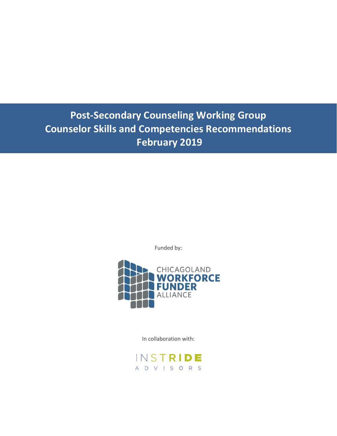# **Post-Secondary Counseling Working Group Counselor Skills and Competencies Recommendations February 2019**

Funded by:



In collaboration with:

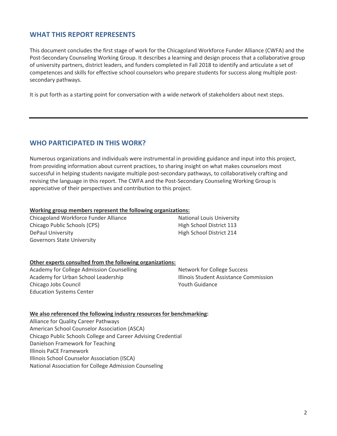## **WHAT THIS REPORT REPRESENTS**

This document concludes the first stage of work for the Chicagoland Workforce Funder Alliance (CWFA) and the Post-Secondary Counseling Working Group. It describes a learning and design process that a collaborative group of university partners, district leaders, and funders completed in Fall 2018 to identify and articulate a set of competences and skills for effective school counselors who prepare students for success along multiple postsecondary pathways.

It is put forth as a starting point for conversation with a wide network of stakeholders about next steps.

## **WHO PARTICIPATED IN THIS WORK?**

Numerous organizations and individuals were instrumental in providing guidance and input into this project, from providing information about current practices, to sharing insight on what makes counselors most successful in helping students navigate multiple post-secondary pathways, to collaboratively crafting and revising the language in this report. The CWFA and the Post-Secondary Counseling Working Group is appreciative of their perspectives and contribution to this project.

#### **Working group members represent the following organizations:**

Chicagoland Workforce Funder Alliance Chicago Public Schools (CPS) DePaul University Governors State University

National Louis University High School District 113 High School District 214

#### **Other experts consulted from the following organizations:**

Academy for College Admission Counselling Academy for Urban School Leadership Chicago Jobs Council Education Systems Center

Network for College Success Illinois Student Assistance Commission Youth Guidance

#### **We also referenced the following industry resources for benchmarking:**

Alliance for Quality Career Pathways American School Counselor Association (ASCA) Chicago Public Schools College and Career Advising Credential Danielson Framework for Teaching Illinois PaCE Framework Illinois School Counselor Association (ISCA) National Association for College Admission Counseling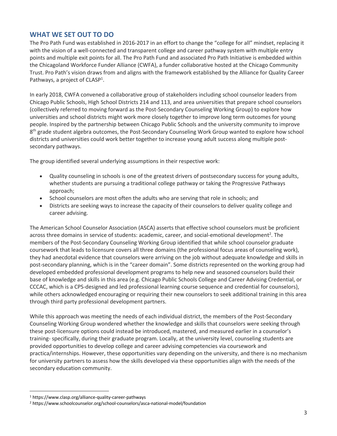## **WHAT WE SET OUT TO DO**

The Pro Path Fund was established in 2016-2017 in an effort to change the "college for all" mindset, replacing it with the vision of a well-connected and transparent college and career pathway system with multiple entry points and multiple exit points for all. The Pro Path Fund and associated Pro Path Initiative is embedded within the Chicagoland Workforce Funder Alliance (CWFA), a funder collaborative hosted at the Chicago Community Trust. Pro Path's vision draws from and aligns with the framework established by the Alliance for Quality Career Pathways, a project of CLASP<sup>1</sup>.

In early 2018, CWFA convened a collaborative group of stakeholders including school counselor leaders from Chicago Public Schools, High School Districts 214 and 113, and area universities that prepare school counselors (collectively referred to moving forward as the Post-Secondary Counseling Working Group) to explore how universities and school districts might work more closely together to improve long term outcomes for young people. Inspired by the partnership between Chicago Public Schools and the university community to improve 8<sup>th</sup> grade student algebra outcomes, the Post-Secondary Counseling Work Group wanted to explore how school districts and universities could work better together to increase young adult success along multiple postsecondary pathways.

The group identified several underlying assumptions in their respective work:

- Quality counseling in schools is one of the greatest drivers of postsecondary success for young adults, whether students are pursuing a traditional college pathway or taking the Progressive Pathways approach;
- School counselors are most often the adults who are serving that role in schools; and
- Districts are seeking ways to increase the capacity of their counselors to deliver quality college and career advising.

The American School Counselor Association (ASCA) asserts that effective school counselors must be proficient across three domains in service of students: academic, career, and social-emotional development<sup>2</sup>. The members of the Post-Secondary Counseling Working Group identified that while school counselor graduate coursework that leads to licensure covers all three domains (the professional focus areas of counseling work), they had anecdotal evidence that counselors were arriving on the job without adequate knowledge and skills in post-secondary planning, which is in the "career domain". Some districts represented on the working group had developed embedded professional development programs to help new and seasoned counselors build their base of knowledge and skills in this area (e.g. Chicago Public Schools College and Career Advising Credential, or CCCAC, which is a CPS-designed and led professional learning course sequence and credential for counselors), while others acknowledged encouraging or requiring their new counselors to seek additional training in this area through third party professional development partners.

While this approach was meeting the needs of each individual district, the members of the Post-Secondary Counseling Working Group wondered whether the knowledge and skills that counselors were seeking through these post-licensure options could instead be introduced, mastered, and measured earlier in a counselor's training- specifically, during their graduate program. Locally, at the university level, counseling students are provided opportunities to develop college and career advising competencies via coursework and practica/internships. However, these opportunities vary depending on the university, and there is no mechanism for university partners to assess how the skills developed via these opportunities align with the needs of the secondary education community.

<sup>1</sup> https://www.clasp.org/alliance-quality-career-pathways

<sup>2</sup> https://www.schoolcounselor.org/school-counselors/asca-national-model/foundation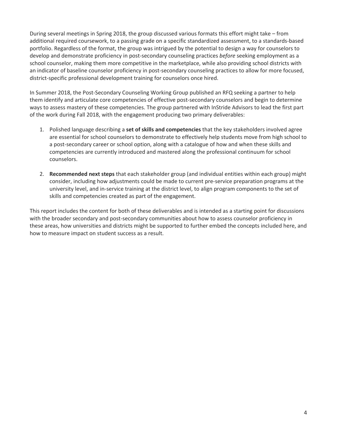During several meetings in Spring 2018, the group discussed various formats this effort might take – from additional required coursework, to a passing grade on a specific standardized assessment, to a standards-based portfolio. Regardless of the format, the group was intrigued by the potential to design a way for counselors to develop and demonstrate proficiency in post-secondary counseling practices *before* seeking employment as a school counselor, making them more competitive in the marketplace, while also providing school districts with an indicator of baseline counselor proficiency in post-secondary counseling practices to allow for more focused, district-specific professional development training for counselors once hired.

In Summer 2018, the Post-Secondary Counseling Working Group published an RFQ seeking a partner to help them identify and articulate core competencies of effective post-secondary counselors and begin to determine ways to assess mastery of these competencies. The group partnered with InStride Advisors to lead the first part of the work during Fall 2018, with the engagement producing two primary deliverables:

- 1. Polished language describing a **set of skills and competencies** that the key stakeholders involved agree are essential for school counselors to demonstrate to effectively help students move from high school to a post-secondary career or school option, along with a catalogue of how and when these skills and competencies are currently introduced and mastered along the professional continuum for school counselors.
- 2. **Recommended next steps** that each stakeholder group (and individual entities within each group) might consider, including how adjustments could be made to current pre-service preparation programs at the university level, and in-service training at the district level, to align program components to the set of skills and competencies created as part of the engagement.

This report includes the content for both of these deliverables and is intended as a starting point for discussions with the broader secondary and post-secondary communities about how to assess counselor proficiency in these areas, how universities and districts might be supported to further embed the concepts included here, and how to measure impact on student success as a result.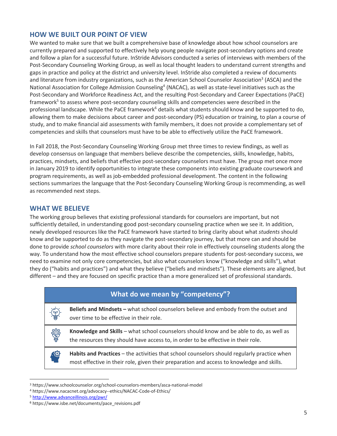## **HOW WE BUILT OUR POINT OF VIEW**

We wanted to make sure that we built a comprehensive base of knowledge about how school counselors are currently prepared and supported to effectively help young people navigate post-secondary options and create and follow a plan for a successful future. InStride Advisors conducted a series of interviews with members of the Post-Secondary Counseling Working Group, as well as local thought leaders to understand current strengths and gaps in practice and policy at the district and university level. InStride also completed a review of documents and literature from industry organizations, such as the American School Counselor Association<sup>3</sup> (ASCA) and the National Association for College Admission Counseling<sup>4</sup> (NACAC), as well as state-level initiatives such as the Post-Secondary and Workforce Readiness Act, and the resulting Post-Secondary and Career Expectations (PaCE) framework<sup>5</sup> to assess where post-secondary counseling skills and competencies were described in the professional landscape. While the PaCE framework<sup>6</sup> details what students should know and be supported to do, allowing them to make decisions about career and post-secondary (PS) education or training, to plan a course of study, and to make financial aid assessments with family members, it does not provide a complementary set of competencies and skills that counselors must have to be able to effectively utilize the PaCE framework.

In Fall 2018, the Post-Secondary Counseling Working Group met three times to review findings, as well as develop consensus on language that members believe describe the competencies, skills, knowledge, habits, practices, mindsets, and beliefs that effective post-secondary counselors must have. The group met once more in January 2019 to identify opportunities to integrate these components into existing graduate coursework and program requirements, as well as job-embedded professional development. The content in the following sections summarizes the language that the Post-Secondary Counseling Working Group is recommending, as well as recommended next steps.

## **WHAT WE BELIEVE**

The working group believes that existing professional standards for counselors are important, but not sufficiently detailed, in understanding good post-secondary counseling practice when we see it. In addition, newly developed resources like the PaCE framework have started to bring clarity about what *students* should know and be supported to do as they navigate the post-secondary journey, but that more can and should be done to provide *school counselors* with more clarity about their role in effectively counseling students along the way. To understand how the most effective school counselors prepare students for post-secondary success, we need to examine not only core competencies, but also what counselors know ("knowledge and skills"), what they do ("habits and practices") and what they believe ("beliefs and mindsets"). These elements are aligned, but different – and they are focused on specific practice than a more generalized set of professional standards.

| What do we mean by "competency"? |                                                                                                                                                                                          |  |
|----------------------------------|------------------------------------------------------------------------------------------------------------------------------------------------------------------------------------------|--|
| 小鳥                               | Beliefs and Mindsets - what school counselors believe and embody from the outset and<br>over time to be effective in their role.                                                         |  |
| 勶                                | Knowledge and Skills – what school counselors should know and be able to do, as well as<br>the resources they should have access to, in order to be effective in their role.             |  |
| KO                               | Habits and Practices – the activities that school counselors should regularly practice when<br>most effective in their role, given their preparation and access to knowledge and skills. |  |

<sup>3</sup> https://www.schoolcounselor.org/school-counselors-members/asca-national-model

<sup>4</sup> https://www.nacacnet.org/advocacy--ethics/NACAC-Code-of-Ethics/

<sup>5</sup> http://www.advanceillinois.org/pwr/

<sup>6</sup> https://www.isbe.net/documents/pace\_revisions.pdf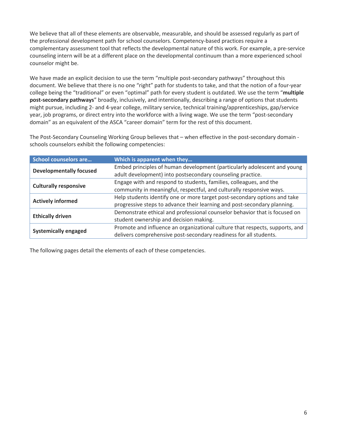We believe that all of these elements are observable, measurable, and should be assessed regularly as part of the professional development path for school counselors. Competency-based practices require a complementary assessment tool that reflects the developmental nature of this work. For example, a pre-service counseling intern will be at a different place on the developmental continuum than a more experienced school counselor might be.

We have made an explicit decision to use the term "multiple post-secondary pathways" throughout this document. We believe that there is no one "right" path for students to take, and that the notion of a four-year college being the "traditional" or even "optimal" path for every student is outdated. We use the term "**multiple post-secondary pathways**" broadly, inclusively, and intentionally, describing a range of options that students might pursue, including 2- and 4-year college, military service, technical training/apprenticeships, gap/service year, job programs, or direct entry into the workforce with a living wage. We use the term "post-secondary domain" as an equivalent of the ASCA "career domain" term for the rest of this document.

The Post-Secondary Counseling Working Group believes that – when effective in the post-secondary domain schools counselors exhibit the following competencies:

| <b>School counselors are</b>   | Which is apparent when they                                                  |
|--------------------------------|------------------------------------------------------------------------------|
| <b>Developmentally focused</b> | Embed principles of human development (particularly adolescent and young     |
|                                | adult development) into postsecondary counseling practice.                   |
| <b>Culturally responsive</b>   | Engage with and respond to students, families, colleagues, and the           |
|                                | community in meaningful, respectful, and culturally responsive ways.         |
|                                | Help students identify one or more target post-secondary options and take    |
| <b>Actively informed</b>       | progressive steps to advance their learning and post-secondary planning.     |
|                                | Demonstrate ethical and professional counselor behavior that is focused on   |
| <b>Ethically driven</b>        | student ownership and decision making.                                       |
|                                | Promote and influence an organizational culture that respects, supports, and |
| <b>Systemically engaged</b>    | delivers comprehensive post-secondary readiness for all students.            |

The following pages detail the elements of each of these competencies.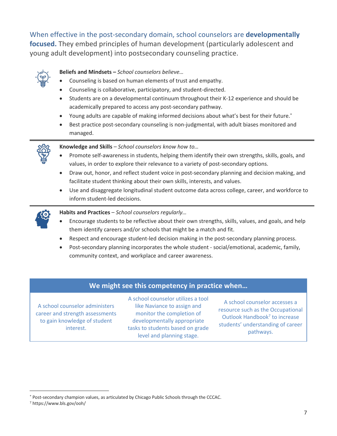When effective in the post-secondary domain, school counselors are **developmentally focused.** They embed principles of human development (particularly adolescent and young adult development) into postsecondary counseling practice.



### **Beliefs and Mindsets –** *School counselors believe…*

- Counseling is based on human elements of trust and empathy.
- Counseling is collaborative, participatory, and student-directed.
- Students are on a developmental continuum throughout their K-12 experience and should be academically prepared to access any post-secondary pathway.
- Young adults are capable of making informed decisions about what's best for their future.\*
- Best practice post-secondary counseling is non-judgmental, with adult biases monitored and managed.



**Knowledge and Skills** *– School counselors know how to…*

- Promote self-awareness in students, helping them identify their own strengths, skills, goals, and values, in order to explore their relevance to a variety of post-secondary options.
- Draw out, honor, and reflect student voice in post-secondary planning and decision making, and facilitate student thinking about their own skills, interests, and values.
- Use and disaggregate longitudinal student outcome data across college, career, and workforce to inform student-led decisions.



**Habits and Practices** – *School counselors regularly…*

- Encourage students to be reflective about their own strengths, skills, values, and goals, and help them identify careers and/or schools that might be a match and fit.
- Respect and encourage student-led decision making in the post-secondary planning process.
- Post-secondary planning incorporates the whole student social/emotional, academic, family, community context, and workplace and career awareness.

## **We might see this competency in practice when…**

A school counselor administers career and strength assessments to gain knowledge of student interest.

A school counselor utilizes a tool like Naviance to assign and monitor the completion of developmentally appropriate tasks to students based on grade level and planning stage.

A school counselor accesses a resource such as the Occupational Outlook Handbook<sup>7</sup> to increase students' understanding of career pathways.

<sup>\*</sup> Post-secondary champion values, as articulated by Chicago Public Schools through the CCCAC.

<sup>7</sup> https://www.bls.gov/ooh/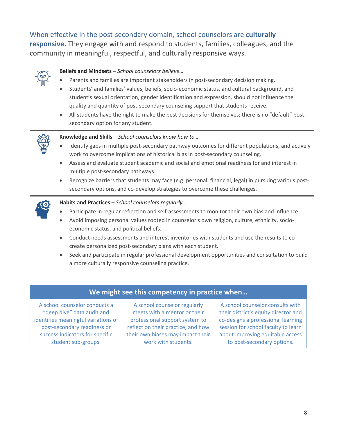When effective in the post-secondary domain, school counselors are **culturally** 

**responsive.** They engage with and respond to students, families, colleagues, and the community in meaningful, respectful, and culturally responsive ways.



#### **Beliefs and Mindsets –** *School counselors believe…*

- Parents and families are important stakeholders in post-secondary decision making.
- Students' and families' values, beliefs, socio-economic status, and cultural background, and student's sexual orientation, gender identification and expression, should not influence the quality and quantity of post-secondary counseling support that students receive.
- All students have the right to make the best decisions for themselves; there is no "default" postsecondary option for any student.



**Knowledge and Skills** *– School counselors know how to…*

- Identify gaps in multiple post-secondary pathway outcomes for different populations, and actively work to overcome implications of historical bias in post-secondary counseling.
- Assess and evaluate student academic and social and emotional readiness for and interest in multiple post-secondary pathways.
- Recognize barriers that students may face (e.g. personal, financial, legal) in pursuing various postsecondary options, and co-develop strategies to overcome these challenges.



**Habits and Practices** – *School counselors regularly…*

- Participate in regular reflection and self-assessments to monitor their own bias and influence.
- Avoid imposing personal values rooted in counselor's own religion, culture, ethnicity, socioeconomic status, and political beliefs.
- Conduct needs assessments and interest inventories with students and use the results to cocreate personalized post-secondary plans with each student.
- Seek and participate in regular professional development opportunities and consultation to build a more culturally responsive counseling practice.

## **We might see this competency in practice when…**

A school counselor conducts a "deep dive" data audit and identifies meaningful variations of post-secondary readiness or success indicators for specific student sub-groups.

A school counselor regularly meets with a mentor or their professional support system to reflect on their practice, and how their own biases may impact their work with students.

A school counselor consults with their district's equity director and co-designs a professional learning session for school faculty to learn about improving equitable access to post-secondary options.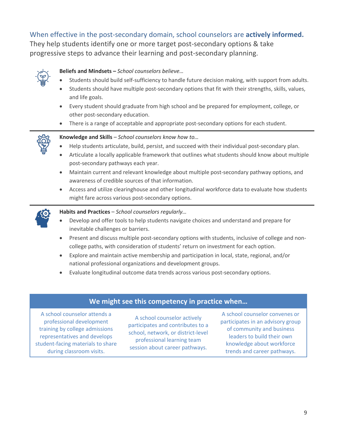# When effective in the post-secondary domain, school counselors are **actively informed.**

They help students identify one or more target post-secondary options & take progressive steps to advance their learning and post-secondary planning.



### **Beliefs and Mindsets –** *School counselors believe…*

- Students should build self-sufficiency to handle future decision making, with support from adults.
- Students should have multiple post-secondary options that fit with their strengths, skills, values, and life goals.
- Every student should graduate from high school and be prepared for employment, college, or other post-secondary education.
- There is a range of acceptable and appropriate post-secondary options for each student.



#### **Knowledge and Skills** *– School counselors know how to…*

- Help students articulate, build, persist, and succeed with their individual post-secondary plan.
- Articulate a locally applicable framework that outlines what students should know about multiple post-secondary pathways each year.
- Maintain current and relevant knowledge about multiple post-secondary pathway options, and awareness of credible sources of that information.
- Access and utilize clearinghouse and other longitudinal workforce data to evaluate how students might fare across various post-secondary options.



**Habits and Practices** – *School counselors regularly…*

- Develop and offer tools to help students navigate choices and understand and prepare for inevitable challenges or barriers.
- Present and discuss multiple post-secondary options with students, inclusive of college and noncollege paths, with consideration of students' return on investment for each option.
- Explore and maintain active membership and participation in local, state, regional, and/or national professional organizations and development groups.
- Evaluate longitudinal outcome data trends across various post-secondary options.

## **We might see this competency in practice when…**

A school counselor attends a professional development training by college admissions representatives and develops student-facing materials to share during classroom visits.

A school counselor actively participates and contributes to a school, network, or district-level professional learning team session about career pathways.

A school counselor convenes or participates in an advisory group of community and business leaders to build their own knowledge about workforce trends and career pathways.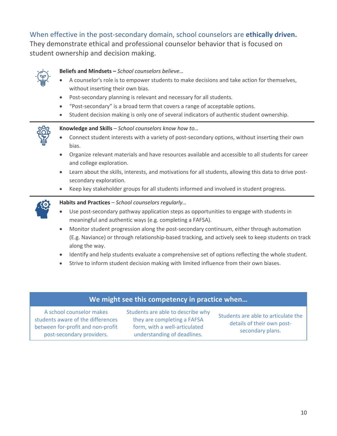# When effective in the post-secondary domain, school counselors are **ethically driven.**

They demonstrate ethical and professional counselor behavior that is focused on student ownership and decision making.



## **Beliefs and Mindsets –** *School counselors believe…*

- A counselor's role is to empower students to make decisions and take action for themselves, without inserting their own bias.
- Post-secondary planning is relevant and necessary for all students.
- "Post-secondary" is a broad term that covers a range of acceptable options.
- Student decision making is only one of several indicators of authentic student ownership.



#### **Knowledge and Skills** *– School counselors know how to…*

- Connect student interests with a variety of post-secondary options, without inserting their own bias.
- Organize relevant materials and have resources available and accessible to all students for career and college exploration.
- Learn about the skills, interests, and motivations for all students, allowing this data to drive postsecondary exploration.
- Keep key stakeholder groups for all students informed and involved in student progress.



#### **Habits and Practices** – *School counselors regularly…*

- Use post-secondary pathway application steps as opportunities to engage with students in meaningful and authentic ways (e.g. completing a FAFSA).
- Monitor student progression along the post-secondary continuum, either through automation (E.g. Naviance) or through relationship-based tracking, and actively seek to keep students on track along the way.
- Identify and help students evaluate a comprehensive set of options reflecting the whole student.
- Strive to inform student decision making with limited influence from their own biases.

## **We might see this competency in practice when…**

A school counselor makes students aware of the differences between for-profit and non-profit post-secondary providers.

Students are able to describe why they are completing a FAFSA form, with a well-articulated understanding of deadlines.

Students are able to articulate the details of their own postsecondary plans.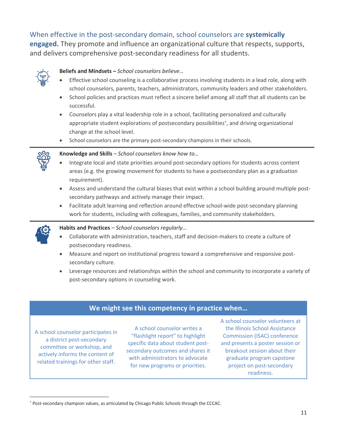# When effective in the post-secondary domain, school counselors are **systemically**

**engaged.** They promote and influence an organizational culture that respects, supports, and delivers comprehensive post-secondary readiness for all students.



#### **Beliefs and Mindsets –** *School counselors believe…*

- Effective school counseling is a collaborative process involving students in a lead role, along with school counselors, parents, teachers, administrators, community leaders and other stakeholders.
- School policies and practices must reflect a sincere belief among all staff that all students can be successful.
- Counselors play a vital leadership role in a school, facilitating personalized and culturally appropriate student explorations of postsecondary possibilities\* , and driving organizational change at the school level.
- School counselors are the primary post-secondary champions in their schools.



#### **Knowledge and Skills** *– School counselors know how to…*

- Integrate local and state priorities around post-secondary options for students across content areas (e.g. the growing movement for students to have a postsecondary plan as a graduation requirement).
- Assess and understand the cultural biases that exist within a school building around multiple postsecondary pathways and actively manage their impact.
- Facilitate adult learning and reflection around effective school-wide post-secondary planning work for students, including with colleagues, families, and community stakeholders.



 $\overline{a}$ 

#### **Habits and Practices** – *School counselors regularly…*

- Collaborate with administration, teachers, staff and decision-makers to create a culture of postsecondary readiness.
- Measure and report on institutional progress toward a comprehensive and responsive postsecondary culture.
- Leverage resources and relationships within the school and community to incorporate a variety of post-secondary options in counseling work.

## **We might see this competency in practice when…**

A school counselor participates in a district post-secondary committee or workshop, and actively informs the content of related trainings for other staff.

A school counselor writes a "flashlight report" to highlight specific data about student postsecondary outcomes and shares it with administrators to advocate for new programs or priorities.

A school counselor volunteers at the Illinois School Assistance Commission (ISAC) conference and presents a poster session or breakout session about their graduate program capstone project on post-secondary readiness.

<sup>\*</sup> Post-secondary champion values, as articulated by Chicago Public Schools through the CCCAC.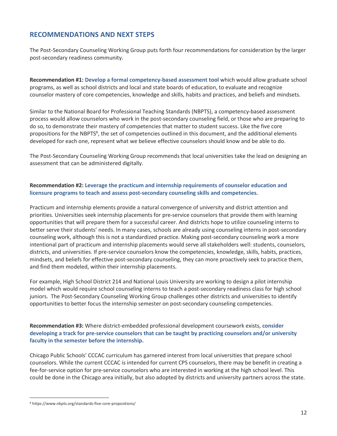## **RECOMMENDATIONS AND NEXT STEPS**

The Post-Secondary Counseling Working Group puts forth four recommendations for consideration by the larger post-secondary readiness community.

**Recommendation #1: Develop a formal competency-based assessment tool** which would allow graduate school programs, as well as school districts and local and state boards of education, to evaluate and recognize counselor mastery of core competencies, knowledge and skills, habits and practices, and beliefs and mindsets.

Similar to the National Board for Professional Teaching Standards (NBPTS), a competency-based assessment process would allow counselors who work in the post-secondary counseling field, or those who are preparing to do so, to demonstrate their mastery of competencies that matter to student success. Like the five core propositions for the NBPTS<sup>8</sup>, the set of competencies outlined in this document, and the additional elements developed for each one, represent what we believe effective counselors should know and be able to do.

The Post-Secondary Counseling Working Group recommends that local universities take the lead on designing an assessment that can be administered digitally.

#### **Recommendation #2: Leverage the practicum and internship requirements of counselor education and licensure programs to teach and assess post-secondary counseling skills and competencies.**

Practicum and internship elements provide a natural convergence of university and district attention and priorities. Universities seek internship placements for pre-service counselors that provide them with learning opportunities that will prepare them for a successful career. And districts hope to utilize counseling interns to better serve their students' needs. In many cases, schools are already using counseling interns in post-secondary counseling work, although this is not a standardized practice. Making post-secondary counseling work a more intentional part of practicum and internship placements would serve all stakeholders well: students, counselors, districts, and universities. If pre-service counselors know the competencies, knowledge, skills, habits, practices, mindsets, and beliefs for effective post-secondary counseling, they can more proactively seek to practice them, and find them modeled, within their internship placements.

For example, High School District 214 and National Louis University are working to design a pilot internship model which would require school counseling interns to teach a post-secondary readiness class for high school juniors. The Post-Secondary Counseling Working Group challenges other districts and universities to identify opportunities to better focus the internship semester on post-secondary counseling competencies.

**Recommendation #3:** Where district-embedded professional development coursework exists, **consider developing a track for pre-service counselors that can be taught by practicing counselors and/or university faculty in the semester before the internship.**

Chicago Public Schools' CCCAC curriculum has garnered interest from local universities that prepare school counselors. While the current CCCAC is intended for current CPS counselors, there may be benefit in creating a fee-for-service option for pre-service counselors who are interested in working at the high school level. This could be done in the Chicago area initially, but also adopted by districts and university partners across the state.

<sup>8</sup> https://www.nbpts.org/standards-five-core-propositions/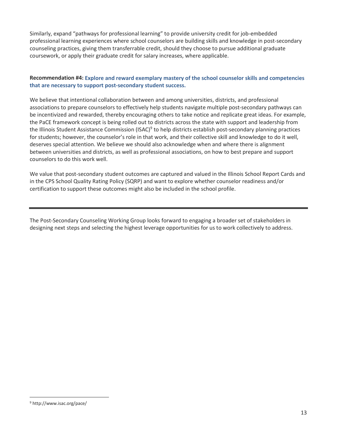Similarly, expand "pathways for professional learning" to provide university credit for job-embedded professional learning experiences where school counselors are building skills and knowledge in post-secondary counseling practices, giving them transferrable credit, should they choose to pursue additional graduate coursework, or apply their graduate credit for salary increases, where applicable.

#### **Recommendation #4: Explore and reward exemplary mastery of the school counselor skills and competencies that are necessary to support post-secondary student success.**

We believe that intentional collaboration between and among universities, districts, and professional associations to prepare counselors to effectively help students navigate multiple post-secondary pathways can be incentivized and rewarded, thereby encouraging others to take notice and replicate great ideas. For example, the PaCE framework concept is being rolled out to districts across the state with support and leadership from the Illinois Student Assistance Commission (ISAC)<sup>9</sup> to help districts establish post-secondary planning practices for students; however, the counselor's role in that work, and their collective skill and knowledge to do it well, deserves special attention. We believe we should also acknowledge when and where there is alignment between universities and districts, as well as professional associations, on how to best prepare and support counselors to do this work well.

We value that post-secondary student outcomes are captured and valued in the Illinois School Report Cards and in the CPS School Quality Rating Policy (SQRP) and want to explore whether counselor readiness and/or certification to support these outcomes might also be included in the school profile.

The Post-Secondary Counseling Working Group looks forward to engaging a broader set of stakeholders in designing next steps and selecting the highest leverage opportunities for us to work collectively to address.

<sup>9</sup> http://www.isac.org/pace/